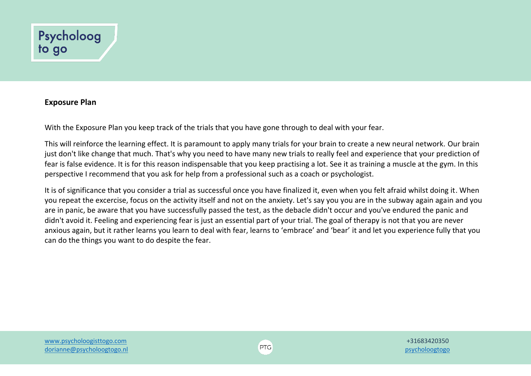

## **Exposure Plan**

With the Exposure Plan you keep track of the trials that you have gone through to deal with your fear.

This will reinforce the learning effect. It is paramount to apply many trials for your brain to create a new neural network. Our brain just don't like change that much. That's why you need to have many new trials to really feel and experience that your prediction of fear is false evidence. It is for this reason indispensable that you keep practising a lot. See it as training a muscle at the gym. In this perspective I recommend that you ask for help from a professional such as a coach or psychologist.

It is of significance that you consider a trial as successful once you have finalized it, even when you felt afraid whilst doing it. When you repeat the excercise, focus on the activity itself and not on the anxiety. Let's say you you are in the subway again again and you are in panic, be aware that you have successfully passed the test, as the debacle didn't occur and you've endured the panic and didn't avoid it. Feeling and experiencing fear is just an essential part of your trial. The goal of therapy is not that you are never anxious again, but it rather learns you learn to deal with fear, learns to 'embrace' and 'bear' it and let you experience fully that you can do the things you want to do despite the fear.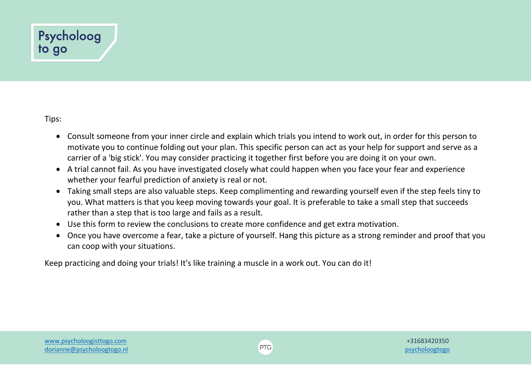## Psycholoog to go

Tips:

- Consult someone from your inner circle and explain which trials you intend to work out, in order for this person to motivate you to continue folding out your plan. This specific person can act as your help for support and serve as a carrier of a 'big stick'. You may consider practicing it together first before you are doing it on your own.
- A trial cannot fail. As you have investigated closely what could happen when you face your fear and experience whether your fearful prediction of anxiety is real or not.
- Taking small steps are also valuable steps. Keep complimenting and rewarding yourself even if the step feels tiny to you. What matters is that you keep moving towards your goal. It is preferable to take a small step that succeeds rather than a step that is too large and fails as a result.
- Use this form to review the conclusions to create more confidence and get extra motivation.
- Once you have overcome a fear, take a picture of yourself. Hang this picture as a strong reminder and proof that you can coop with your situations.

Keep practicing and doing your trials! It's like training a muscle in a work out. You can do it!